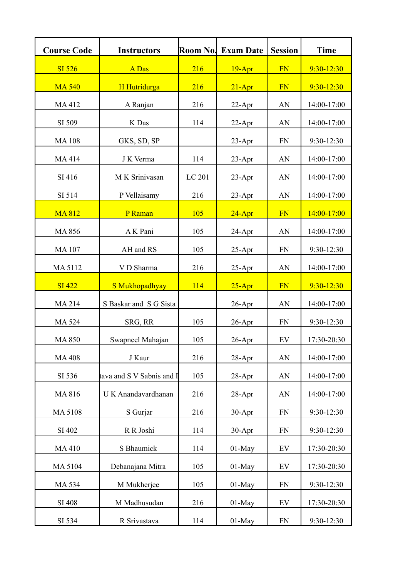| <b>Course Code</b> | <b>Instructors</b>        | Room No. | <b>Exam Date</b> | <b>Session</b> | <b>Time</b>    |
|--------------------|---------------------------|----------|------------------|----------------|----------------|
| <b>SI 526</b>      | A Das                     | 216      | $19 - Apr$       | FN             | $9:30 - 12:30$ |
| <b>MA 540</b>      | H Hutridurga              | 216      | $21 - Apr$       | FN             | $9:30 - 12:30$ |
| MA412              | A Ranjan                  | 216      | $22$ -Apr        | AN             | 14:00-17:00    |
| SI 509             | K Das                     | 114      | $22-Apr$         | AN             | 14:00-17:00    |
| <b>MA108</b>       | GKS, SD, SP               |          | $23$ -Apr        | <b>FN</b>      | 9:30-12:30     |
| MA414              | J K Verma                 | 114      | 23-Apr           | AN             | 14:00-17:00    |
| SI 416             | M K Srinivasan            | LC 201   | $23$ -Apr        | AN             | 14:00-17:00    |
| SI 514             | P Vellaisamy              | 216      | 23-Apr           | AN             | 14:00-17:00    |
| <b>MA812</b>       | P Raman                   | 105      | $24 - Apr$       | <b>FN</b>      | 14:00-17:00    |
| MA 856             | A K Pani                  | 105      | 24-Apr           | AN             | 14:00-17:00    |
| <b>MA107</b>       | AH and RS                 | 105      | $25 - Apr$       | <b>FN</b>      | 9:30-12:30     |
| MA 5112            | V D Sharma                | 216      | $25 - Apr$       | AN             | 14:00-17:00    |
| <b>SI 422</b>      | S Mukhopadhyay            | 114      | $25 - Apr$       | FN             | 9:30-12:30     |
| MA 214             | S Baskar and S G Sista    |          | $26$ -Apr        | AN             | 14:00-17:00    |
| MA 524             | SRG, RR                   | 105      | $26$ -Apr        | <b>FN</b>      | 9:30-12:30     |
| <b>MA 850</b>      | Swapneel Mahajan          | 105      | $26$ -Apr        | EV             | 17:30-20:30    |
| <b>MA408</b>       | J Kaur                    | 216      | 28-Apr           | AN             | 14:00-17:00    |
| SI 536             | tava and S V Sabnis and F | 105      | $28-Apr$         | AN             | 14:00-17:00    |
| MA 816             | U K Anandavardhanan       | 216      | $28 - Apr$       | AN             | 14:00-17:00    |
| MA 5108            | S Gurjar                  | 216      | 30-Apr           | <b>FN</b>      | 9:30-12:30     |
| SI 402             | R R Joshi                 | 114      | 30-Apr           | <b>FN</b>      | 9:30-12:30     |
| MA410              | S Bhaumick                | 114      | $01-May$         | EV             | 17:30-20:30    |
| MA 5104            | Debanajana Mitra          | 105      | 01-May           | EV             | 17:30-20:30    |
| MA 534             | M Mukherjee               | 105      | $01-May$         | <b>FN</b>      | 9:30-12:30     |
| SI 408             | M Madhusudan              | 216      | $01$ -May        | EV             | 17:30-20:30    |
| SI 534             | R Srivastava              | 114      | 01-May           | <b>FN</b>      | 9:30-12:30     |